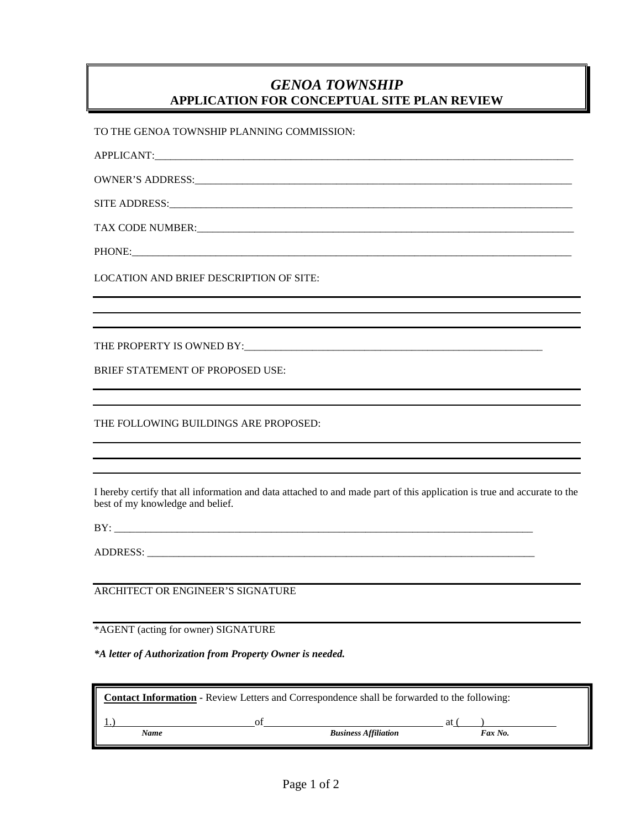## *GENOA TOWNSHIP* **APPLICATION FOR CONCEPTUAL SITE PLAN REVIEW**

TO THE GENOA TOWNSHIP PLANNING COMMISSION:

APPLICANT:\_\_\_\_\_\_\_\_\_\_\_\_\_\_\_\_\_\_\_\_\_\_\_\_\_\_\_\_\_\_\_\_\_\_\_\_\_\_\_\_\_\_\_\_\_\_\_\_\_\_\_\_\_\_\_\_\_\_\_\_\_\_\_\_\_\_\_\_\_\_\_\_\_\_\_\_\_\_\_\_

OWNER'S ADDRESS:

SITE ADDRESS:

TAX CODE NUMBER:\_\_\_\_\_\_\_\_\_\_\_\_\_\_\_\_\_\_\_\_\_\_\_\_\_\_\_\_\_\_\_\_\_\_\_\_\_\_\_\_\_\_\_\_\_\_\_\_\_\_\_\_\_\_\_\_\_\_\_\_\_\_\_\_\_\_\_\_\_\_\_\_

PHONE:

LOCATION AND BRIEF DESCRIPTION OF SITE:

THE PROPERTY IS OWNED BY:

BRIEF STATEMENT OF PROPOSED USE:

THE FOLLOWING BUILDINGS ARE PROPOSED:

I hereby certify that all information and data attached to and made part of this application is true and accurate to the best of my knowledge and belief.

BY: \_\_\_\_\_\_\_\_\_\_\_\_\_\_\_\_\_\_\_\_\_\_\_\_\_\_\_\_\_\_\_\_\_\_\_\_\_\_\_\_\_\_\_\_\_\_\_\_\_\_\_\_\_\_\_\_\_\_\_\_\_\_\_\_\_\_\_\_\_\_\_\_\_\_\_\_\_\_\_\_

ADDRESS: \_\_\_\_\_\_\_\_\_\_\_\_\_\_\_\_\_\_\_\_\_\_\_\_\_\_\_\_\_\_\_\_\_\_\_\_\_\_\_\_\_\_\_\_\_\_\_\_\_\_\_\_\_\_\_\_\_\_\_\_\_\_\_\_\_\_\_\_\_\_\_\_\_\_

ARCHITECT OR ENGINEER'S SIGNATURE

\*AGENT (acting for owner) SIGNATURE

*\*A letter of Authorization from Property Owner is needed.*

| <b>Contact Information - Review Letters and Correspondence shall be forwarded to the following:</b> |     |                             |               |  |
|-----------------------------------------------------------------------------------------------------|-----|-----------------------------|---------------|--|
| Name                                                                                                | ി † | <b>Business Affiliation</b> | at<br>Fax No. |  |